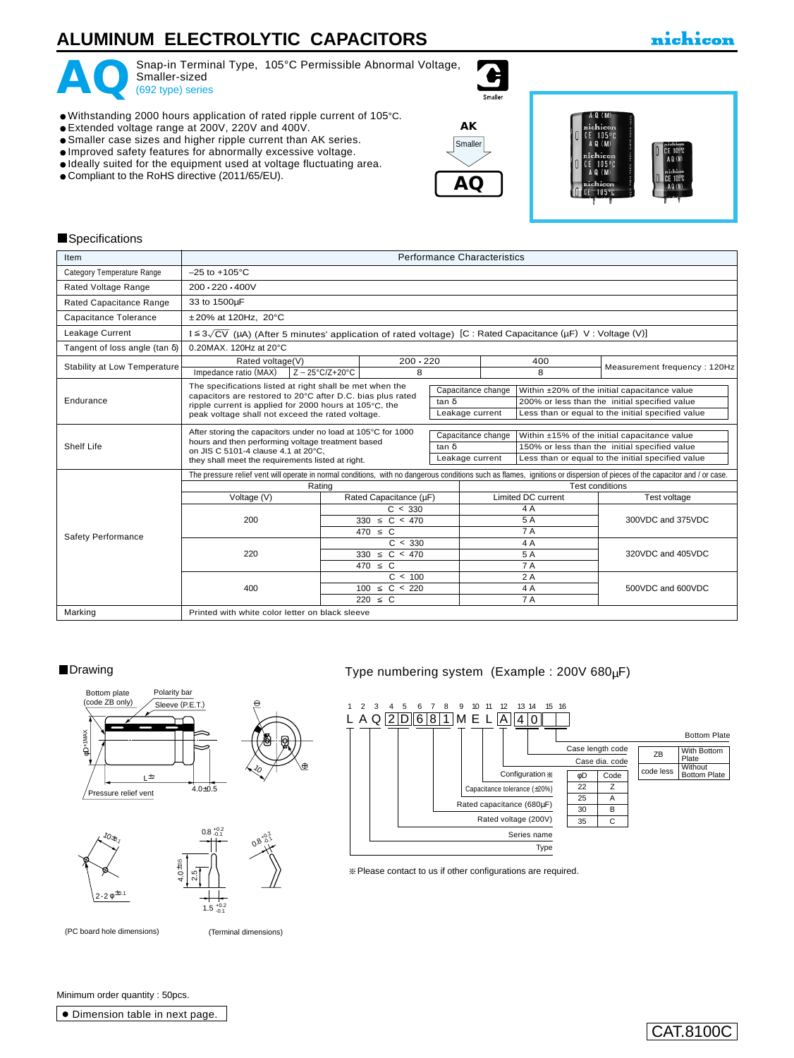### **ALUMINUM ELECTROLYTIC CAPACITORS**

### nichicon



Snap-in Terminal Type, 105°C Permissible Abnormal Voltage,<br>
Smaller-sized<br>
(692 type) series Smaller-sized<br>(692 type) series

- Withstanding 2000 hours application of rated ripple current of 105°C.
- Extended voltage range at 200V, 220V and 400V.
- Smaller case sizes and higher ripple current than AK series.
- Improved safety features for abnormally excessive voltage.
- Ideally suited for the equipment used at voltage fluctuating area.
- Compliant to the RoHS directive (2011/65/EU).



 $\bullet$ 



#### **Specifications**

| Item                                  | <b>Performance Characteristics</b>                                                                                    |                                   |                 |                 |                           |                                                   |                                                                                                                                                                            |  |
|---------------------------------------|-----------------------------------------------------------------------------------------------------------------------|-----------------------------------|-----------------|-----------------|---------------------------|---------------------------------------------------|----------------------------------------------------------------------------------------------------------------------------------------------------------------------------|--|
| Category Temperature Range            | $-25$ to $+105^{\circ}$ C                                                                                             |                                   |                 |                 |                           |                                                   |                                                                                                                                                                            |  |
| Rated Voltage Range                   | $200 \cdot 220 \cdot 400V$                                                                                            |                                   |                 |                 |                           |                                                   |                                                                                                                                                                            |  |
| Rated Capacitance Range               | 33 to 1500µF                                                                                                          |                                   |                 |                 |                           |                                                   |                                                                                                                                                                            |  |
| Capacitance Tolerance                 | ±20% at 120Hz, 20°C                                                                                                   |                                   |                 |                 |                           |                                                   |                                                                                                                                                                            |  |
| Leakage Current                       | $I \leq 3\sqrt{CV}$ (µA) (After 5 minutes' application of rated voltage) [C : Rated Capacitance (µF) V : Voltage (V)] |                                   |                 |                 |                           |                                                   |                                                                                                                                                                            |  |
| Tangent of loss angle (tan $\delta$ ) | 0.20MAX, 120Hz at 20°C                                                                                                |                                   |                 |                 |                           |                                                   |                                                                                                                                                                            |  |
| Stability at Low Temperature          | Rated voltage(V)                                                                                                      |                                   | $200 \cdot 220$ |                 | 400                       |                                                   | Measurement frequency: 120Hz                                                                                                                                               |  |
|                                       | Impedance ratio (MAX)                                                                                                 | $Z - 25^{\circ}C/Z + 20^{\circ}C$ | 8               |                 |                           | 8                                                 |                                                                                                                                                                            |  |
|                                       | The specifications listed at right shall be met when the                                                              |                                   |                 |                 | Capacitance change        |                                                   | Within ±20% of the initial capacitance value                                                                                                                               |  |
| Endurance                             | capacitors are restored to 20°C after D.C. bias plus rated<br>ripple current is applied for 2000 hours at 105°C, the  |                                   | tan $\delta$    |                 |                           | 200% or less than the initial specified value     |                                                                                                                                                                            |  |
|                                       | peak voltage shall not exceed the rated voltage.                                                                      |                                   |                 | Leakage current |                           | Less than or equal to the initial specified value |                                                                                                                                                                            |  |
|                                       | After storing the capacitors under no load at 105°C for 1000                                                          |                                   |                 |                 | Capacitance change        |                                                   | Within ±15% of the initial capacitance value                                                                                                                               |  |
| Shelf Life                            | hours and then performing voltage treatment based<br>on JIS C 5101-4 clause 4.1 at 20°C.                              |                                   |                 | tan $\delta$    |                           | 150% or less than the initial specified value     |                                                                                                                                                                            |  |
|                                       | they shall meet the requirements listed at right.                                                                     |                                   |                 | Leakage current |                           |                                                   | Less than or equal to the initial specified value                                                                                                                          |  |
|                                       |                                                                                                                       |                                   |                 |                 |                           |                                                   | The pressure relief vent will operate in normal conditions, with no dangerous conditions such as flames, ignitions or dispersion of pieces of the capacitor and / or case. |  |
|                                       | Rating                                                                                                                |                                   |                 |                 | <b>Test conditions</b>    |                                                   |                                                                                                                                                                            |  |
|                                       | Voltage (V)                                                                                                           | Rated Capacitance (µF)            |                 |                 | <b>Limited DC current</b> |                                                   | Test voltage                                                                                                                                                               |  |
|                                       |                                                                                                                       | C < 330                           |                 |                 |                           | 4A                                                |                                                                                                                                                                            |  |
|                                       | 200                                                                                                                   | $330 \le C < 470$                 |                 |                 | 5 A                       |                                                   | 300VDC and 375VDC                                                                                                                                                          |  |
| Safety Performance                    |                                                                                                                       | $470 \leq C$                      |                 |                 | <b>7A</b>                 |                                                   |                                                                                                                                                                            |  |
|                                       |                                                                                                                       |                                   | C < 330         |                 | 4A                        |                                                   |                                                                                                                                                                            |  |
|                                       | 220                                                                                                                   | $330 \le C < 470$                 |                 |                 | 5 A                       |                                                   | 320VDC and 405VDC                                                                                                                                                          |  |
|                                       |                                                                                                                       |                                   | $470 \leq C$    |                 | <b>7A</b>                 |                                                   |                                                                                                                                                                            |  |
|                                       |                                                                                                                       |                                   | C < 100         |                 | 2A                        |                                                   |                                                                                                                                                                            |  |
|                                       | 400                                                                                                                   | $100 \le C < 220$                 |                 |                 | 4A                        |                                                   | 500VDC and 600VDC                                                                                                                                                          |  |
| Marking                               | Printed with white color letter on black sleeve                                                                       | <b>7A</b><br>$220 \leq C$         |                 |                 |                           |                                                   |                                                                                                                                                                            |  |
|                                       |                                                                                                                       |                                   |                 |                 |                           |                                                   |                                                                                                                                                                            |  |



(PC board hole dimensions) (Terminal dimensions)

+0.2 -0.1

#### ■Drawing ■ Type numbering system (Example : 200V 680µF)



Please contact to us if other configurations are required.

Minimum order quantity : 50pcs.

Dimension table in next page.